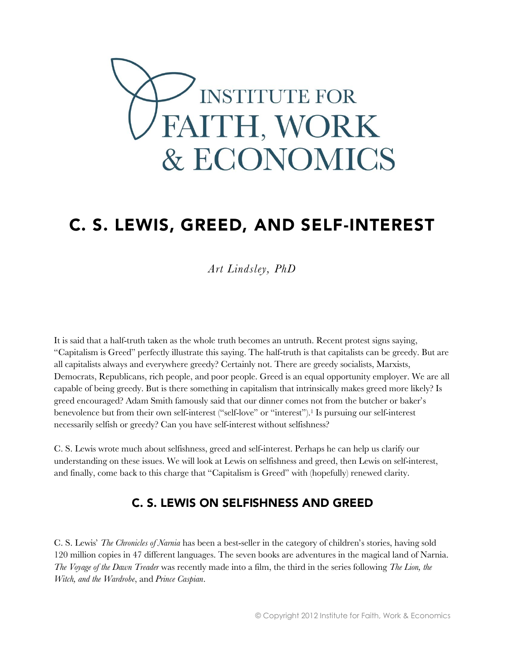

## C. S. LEWIS, GREED, AND SELF-INTEREST

*Art Lindsley, PhD*

It is said that a half-truth taken as the whole truth becomes an untruth. Recent protest signs saying, "Capitalism is Greed" perfectly illustrate this saying. The half-truth is that capitalists can be greedy. But are all capitalists always and everywhere greedy? Certainly not. There are greedy socialists, Marxists, Democrats, Republicans, rich people, and poor people. Greed is an equal opportunity employer. We are all capable of being greedy. But is there something in capitalism that intrinsically makes greed more likely? Is greed encouraged? Adam Smith famously said that our dinner comes not from the butcher or baker's benevolence but from their own self-interest ("self-love" or "interest").<sup>1</sup> Is pursuing our self-interest necessarily selfish or greedy? Can you have self-interest without selfishness?

C. S. Lewis wrote much about selfishness, greed and self-interest. Perhaps he can help us clarify our understanding on these issues. We will look at Lewis on selfishness and greed, then Lewis on self-interest, and finally, come back to this charge that "Capitalism is Greed" with (hopefully) renewed clarity.

## **C. S. LEWIS ON SELFISHNESS AND GREED**

C. S. Lewis' *The Chronicles of Narnia* has been a best-seller in the category of children's stories, having sold 120 million copies in 47 different languages. The seven books are adventures in the magical land of Narnia. *The Voyage of the Dawn Treader* was recently made into a film, the third in the series following *The Lion, the Witch, and the Wardrobe*, and *Prince Caspian*.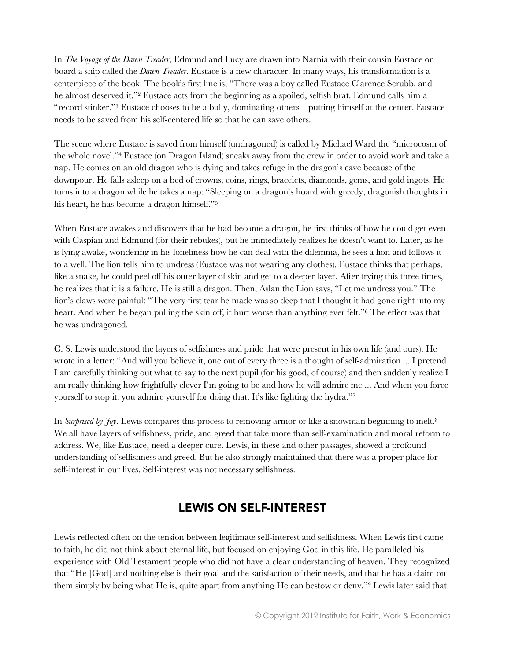In *The Voyage of the Dawn Treader*, Edmund and Lucy are drawn into Narnia with their cousin Eustace on board a ship called the *Dawn Treader*. Eustace is a new character. In many ways, his transformation is a centerpiece of the book. The book's first line is, "There was a boy called Eustace Clarence Scrubb, and he almost deserved it."<sup>2</sup> Eustace acts from the beginning as a spoiled, selfish brat. Edmund calls him a "record stinker."<sup>3</sup> Eustace chooses to be a bully, dominating others—putting himself at the center. Eustace needs to be saved from his self-centered life so that he can save others.

The scene where Eustace is saved from himself (undragoned) is called by Michael Ward the "microcosm of the whole novel."<sup>4</sup> Eustace (on Dragon Island) sneaks away from the crew in order to avoid work and take a nap. He comes on an old dragon who is dying and takes refuge in the dragon's cave because of the downpour. He falls asleep on a bed of crowns, coins, rings, bracelets, diamonds, gems, and gold ingots. He turns into a dragon while he takes a nap: "Sleeping on a dragon's hoard with greedy, dragonish thoughts in his heart, he has become a dragon himself."<sup>5</sup>

When Eustace awakes and discovers that he had become a dragon, he first thinks of how he could get even with Caspian and Edmund (for their rebukes), but he immediately realizes he doesn't want to. Later, as he is lying awake, wondering in his loneliness how he can deal with the dilemma, he sees a lion and follows it to a well. The lion tells him to undress (Eustace was not wearing any clothes). Eustace thinks that perhaps, like a snake, he could peel off his outer layer of skin and get to a deeper layer. After trying this three times, he realizes that it is a failure. He is still a dragon. Then, Aslan the Lion says, "Let me undress you." The lion's claws were painful: "The very first tear he made was so deep that I thought it had gone right into my heart. And when he began pulling the skin off, it hurt worse than anything ever felt."<sup>6</sup> The effect was that he was undragoned.

C. S. Lewis understood the layers of selfishness and pride that were present in his own life (and ours). He wrote in a letter: "And will you believe it, one out of every three is a thought of self-admiration ... I pretend I am carefully thinking out what to say to the next pupil (for his good, of course) and then suddenly realize I am really thinking how frightfully clever I'm going to be and how he will admire me ... And when you force yourself to stop it, you admire yourself for doing that. It's like fighting the hydra."<sup>7</sup>

In *Surprised by Joy*, Lewis compares this process to removing armor or like a snowman beginning to melt.<sup>8</sup> We all have layers of selfishness, pride, and greed that take more than self-examination and moral reform to address. We, like Eustace, need a deeper cure. Lewis, in these and other passages, showed a profound understanding of selfishness and greed. But he also strongly maintained that there was a proper place for self-interest in our lives. Self-interest was not necessary selfishness.

## **LEWIS ON SELF-INTEREST**

Lewis reflected often on the tension between legitimate self-interest and selfishness. When Lewis first came to faith, he did not think about eternal life, but focused on enjoying God in this life. He paralleled his experience with Old Testament people who did not have a clear understanding of heaven. They recognized that "He [God] and nothing else is their goal and the satisfaction of their needs, and that he has a claim on them simply by being what He is, quite apart from anything He can bestow or deny."<sup>9</sup> Lewis later said that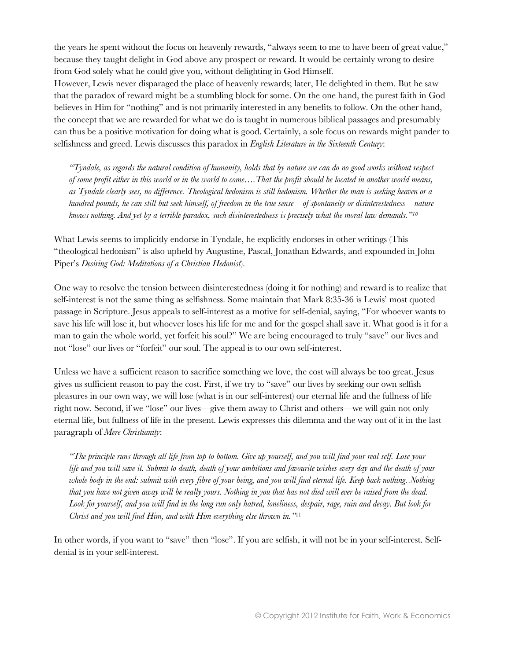the years he spent without the focus on heavenly rewards, "always seem to me to have been of great value," because they taught delight in God above any prospect or reward. It would be certainly wrong to desire from God solely what he could give you, without delighting in God Himself.

However, Lewis never disparaged the place of heavenly rewards; later, He delighted in them. But he saw that the paradox of reward might be a stumbling block for some. On the one hand, the purest faith in God believes in Him for "nothing" and is not primarily interested in any benefits to follow. On the other hand, the concept that we are rewarded for what we do is taught in numerous biblical passages and presumably can thus be a positive motivation for doing what is good. Certainly, a sole focus on rewards might pander to selfishness and greed. Lewis discusses this paradox in *English Literature in the Sixteenth Century*:

*"Tyndale, as regards the natural condition of humanity, holds that by nature we can do no good works without respect of some profit either in this world or in the world to come….That the profit should be located in another world means, as Tyndale clearly sees, no difference. Theological hedonism is still hedonism. Whether the man is seeking heaven or a hundred pounds, he can still but seek himself, of freedom in the true sense—of spontaneity or disinterestedness—nature knows nothing. And yet by a terrible paradox, such disinterestedness is precisely what the moral law demands."<sup>10</sup>*

What Lewis seems to implicitly endorse in Tyndale, he explicitly endorses in other writings (This "theological hedonism" is also upheld by Augustine, Pascal, Jonathan Edwards, and expounded in John Piper's *Desiring God: Meditations of a Christian Hedonist*).

One way to resolve the tension between disinterestedness (doing it for nothing) and reward is to realize that self-interest is not the same thing as selfishness. Some maintain that Mark 8:35-36 is Lewis' most quoted passage in Scripture. Jesus appeals to self-interest as a motive for self-denial, saying, "For whoever wants to save his life will lose it, but whoever loses his life for me and for the gospel shall save it. What good is it for a man to gain the whole world, yet forfeit his soul?" We are being encouraged to truly "save" our lives and not "lose" our lives or "forfeit" our soul. The appeal is to our own self-interest.

Unless we have a sufficient reason to sacrifice something we love, the cost will always be too great. Jesus gives us sufficient reason to pay the cost. First, if we try to "save" our lives by seeking our own selfish pleasures in our own way, we will lose (what is in our self-interest) our eternal life and the fullness of life right now. Second, if we "lose" our lives—give them away to Christ and others—we will gain not only eternal life, but fullness of life in the present. Lewis expresses this dilemma and the way out of it in the last paragraph of *Mere Christianity*:

*"The principle runs through all life from top to bottom. Give up yourself, and you will find your real self. Lose your life and you will save it. Submit to death, death of your ambitions and favourite wishes every day and the death of your whole body in the end: submit with every fibre of your being, and you will find eternal life. Keep back nothing. Nothing that you have not given away will be really yours. Nothing in you that has not died will ever be raised from the dead. Look for yourself, and you will find in the long run only hatred, loneliness, despair, rage, ruin and decay. But look for Christ and you will find Him, and with Him everything else thrown in."*<sup>11</sup>

In other words, if you want to "save" then "lose". If you are selfish, it will not be in your self-interest. Selfdenial is in your self-interest.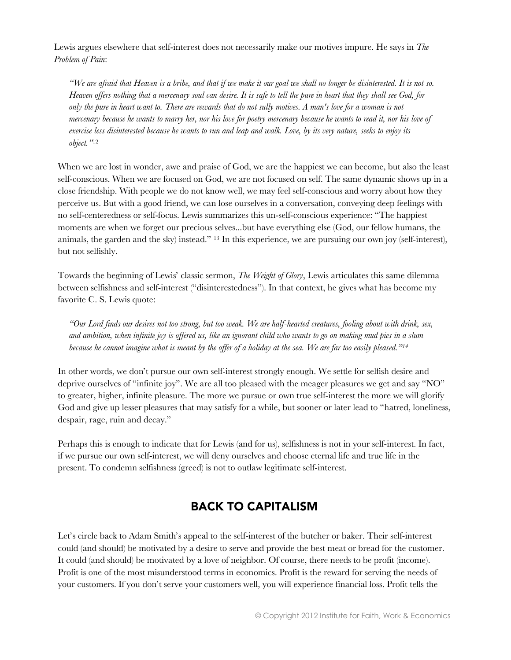Lewis argues elsewhere that self-interest does not necessarily make our motives impure. He says in *The Problem of Pain*:

*"We are afraid that Heaven is a bribe, and that if we make it our goal we shall no longer be disinterested. It is not so. Heaven offers nothing that a mercenary soul can desire. It is safe to tell the pure in heart that they shall see God, for only the pure in heart want to. There are rewards that do not sully motives. A man's love for a woman is not mercenary because he wants to marry her, nor his love for poetry mercenary because he wants to read it, nor his love of exercise less disinterested because he wants to run and leap and walk. Love, by its very nature, seeks to enjoy its object."*<sup>12</sup>

When we are lost in wonder, awe and praise of God, we are the happiest we can become, but also the least self-conscious. When we are focused on God, we are not focused on self. The same dynamic shows up in a close friendship. With people we do not know well, we may feel self-conscious and worry about how they perceive us. But with a good friend, we can lose ourselves in a conversation, conveying deep feelings with no self-centeredness or self-focus. Lewis summarizes this un-self-conscious experience: "The happiest moments are when we forget our precious selves...but have everything else (God, our fellow humans, the animals, the garden and the sky) instead." <sup>13</sup> In this experience, we are pursuing our own joy (self-interest), but not selfishly.

Towards the beginning of Lewis' classic sermon, *The Weight of Glory*, Lewis articulates this same dilemma between selfishness and self-interest ("disinterestedness"). In that context, he gives what has become my favorite C. S. Lewis quote:

*"Our Lord finds our desires not too strong, but too weak. We are half-hearted creatures, fooling about with drink, sex, and ambition, when infinite joy is offered us, like an ignorant child who wants to go on making mud pies in a slum because he cannot imagine what is meant by the offer of a holiday at the sea. We are far too easily pleased."<sup>14</sup>*

In other words, we don't pursue our own self-interest strongly enough. We settle for selfish desire and deprive ourselves of "infinite joy". We are all too pleased with the meager pleasures we get and say "NO" to greater, higher, infinite pleasure. The more we pursue or own true self-interest the more we will glorify God and give up lesser pleasures that may satisfy for a while, but sooner or later lead to "hatred, loneliness, despair, rage, ruin and decay."

Perhaps this is enough to indicate that for Lewis (and for us), selfishness is not in your self-interest. In fact, if we pursue our own self-interest, we will deny ourselves and choose eternal life and true life in the present. To condemn selfishness (greed) is not to outlaw legitimate self-interest.

## **BACK TO CAPITALISM**

Let's circle back to Adam Smith's appeal to the self-interest of the butcher or baker. Their self-interest could (and should) be motivated by a desire to serve and provide the best meat or bread for the customer. It could (and should) be motivated by a love of neighbor. Of course, there needs to be profit (income). Profit is one of the most misunderstood terms in economics. Profit is the reward for serving the needs of your customers. If you don't serve your customers well, you will experience financial loss. Profit tells the